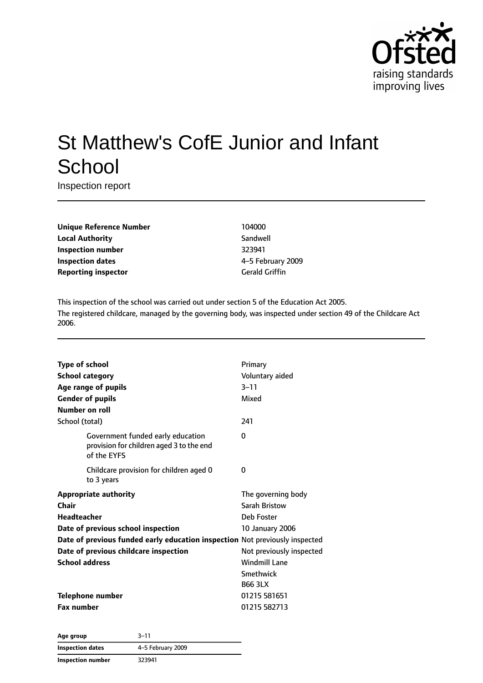

# St Matthew's CofE Junior and Infant **School**

Inspection report

**Unique Reference Number** 104000 **Local Authority** Sandwell **Inspection number** 323941 **Inspection dates** 4–5 February 2009 **Reporting inspector** Gerald Griffin

This inspection of the school was carried out under section 5 of the Education Act 2005. The registered childcare, managed by the governing body, was inspected under section 49 of the Childcare Act 2006.

| <b>Type of school</b><br><b>School category</b><br>Age range of pupils<br><b>Gender of pupils</b><br>Number on roll                                                                                                                                | Primary<br>Voluntary aided<br>$3 - 11$<br>Mixed                                                                                                                       |
|----------------------------------------------------------------------------------------------------------------------------------------------------------------------------------------------------------------------------------------------------|-----------------------------------------------------------------------------------------------------------------------------------------------------------------------|
| School (total)                                                                                                                                                                                                                                     | 241                                                                                                                                                                   |
| Government funded early education<br>provision for children aged 3 to the end<br>of the EYFS                                                                                                                                                       | 0                                                                                                                                                                     |
| Childcare provision for children aged 0<br>to 3 years                                                                                                                                                                                              | 0                                                                                                                                                                     |
| <b>Appropriate authority</b><br>Chair<br><b>Headteacher</b><br>Date of previous school inspection<br>Date of previous funded early education inspection Not previously inspected<br>Date of previous childcare inspection<br><b>School address</b> | The governing body<br>Sarah Bristow<br>Deb Foster<br><b>10 January 2006</b><br>Not previously inspected<br><b>Windmill Lane</b><br><b>Smethwick</b><br><b>B66 3LX</b> |
| <b>Telephone number</b><br><b>Fax number</b>                                                                                                                                                                                                       | 01215 581651<br>01215 582713                                                                                                                                          |

**Age group** 3–11 **Inspection dates** 4–5 February 2009 **Inspection number** 323941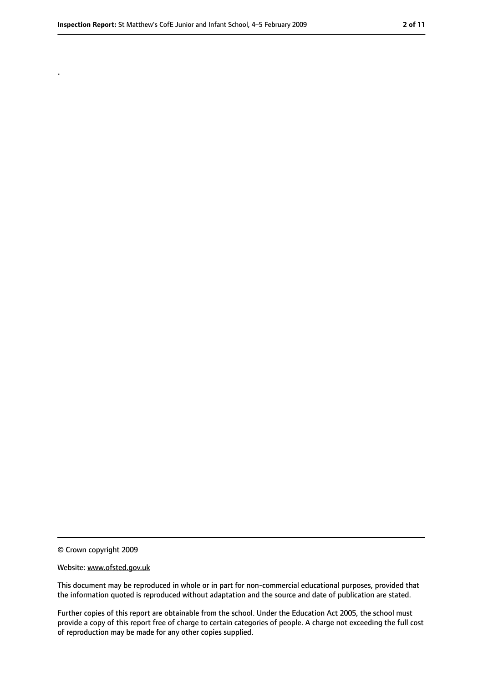.

<sup>©</sup> Crown copyright 2009

Website: www.ofsted.gov.uk

This document may be reproduced in whole or in part for non-commercial educational purposes, provided that the information quoted is reproduced without adaptation and the source and date of publication are stated.

Further copies of this report are obtainable from the school. Under the Education Act 2005, the school must provide a copy of this report free of charge to certain categories of people. A charge not exceeding the full cost of reproduction may be made for any other copies supplied.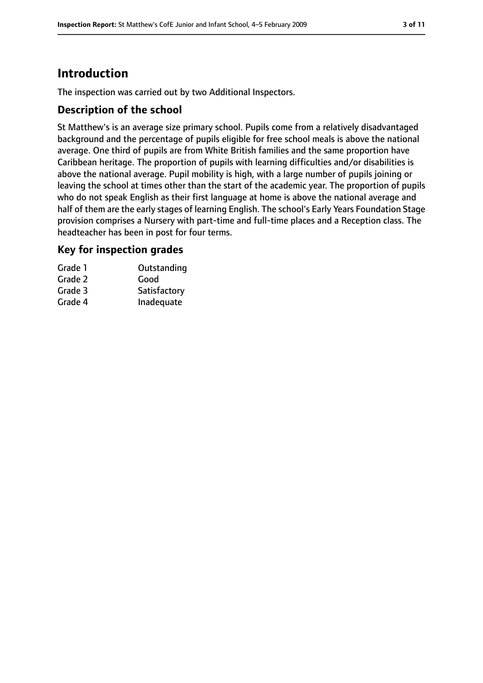# **Introduction**

The inspection was carried out by two Additional Inspectors.

## **Description of the school**

St Matthew's is an average size primary school. Pupils come from a relatively disadvantaged background and the percentage of pupils eligible for free school meals is above the national average. One third of pupils are from White British families and the same proportion have Caribbean heritage. The proportion of pupils with learning difficulties and/or disabilities is above the national average. Pupil mobility is high, with a large number of pupils joining or leaving the school at times other than the start of the academic year. The proportion of pupils who do not speak English as their first language at home is above the national average and half of them are the early stages of learning English. The school's Early Years Foundation Stage provision comprises a Nursery with part-time and full-time places and a Reception class. The headteacher has been in post for four terms.

## **Key for inspection grades**

| Grade 1 | Outstanding  |
|---------|--------------|
| Grade 2 | Good         |
| Grade 3 | Satisfactory |
| Grade 4 | Inadequate   |
|         |              |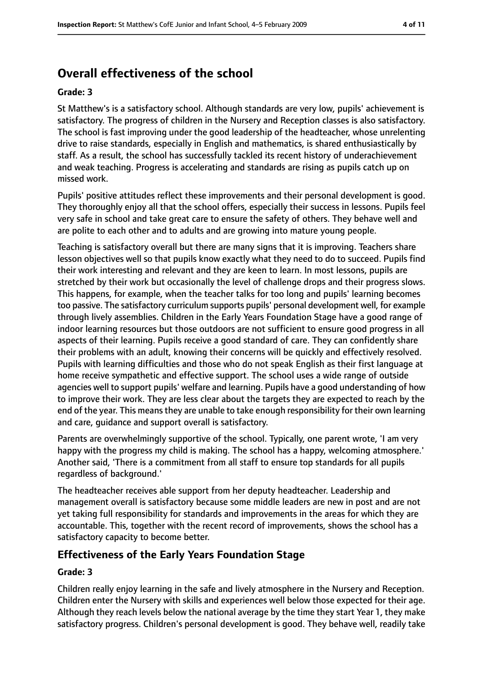# **Overall effectiveness of the school**

#### **Grade: 3**

St Matthew's is a satisfactory school. Although standards are very low, pupils' achievement is satisfactory. The progress of children in the Nursery and Reception classes is also satisfactory. The school is fast improving under the good leadership of the headteacher, whose unrelenting drive to raise standards, especially in English and mathematics, is shared enthusiastically by staff. As a result, the school has successfully tackled its recent history of underachievement and weak teaching. Progress is accelerating and standards are rising as pupils catch up on missed work.

Pupils' positive attitudes reflect these improvements and their personal development is good. They thoroughly enjoy all that the school offers, especially their success in lessons. Pupils feel very safe in school and take great care to ensure the safety of others. They behave well and are polite to each other and to adults and are growing into mature young people.

Teaching is satisfactory overall but there are many signs that it is improving. Teachers share lesson objectives well so that pupils know exactly what they need to do to succeed. Pupils find their work interesting and relevant and they are keen to learn. In most lessons, pupils are stretched by their work but occasionally the level of challenge drops and their progress slows. This happens, for example, when the teacher talks for too long and pupils' learning becomes too passive. The satisfactory curriculum supports pupils' personal development well, for example through lively assemblies. Children in the Early Years Foundation Stage have a good range of indoor learning resources but those outdoors are not sufficient to ensure good progress in all aspects of their learning. Pupils receive a good standard of care. They can confidently share their problems with an adult, knowing their concerns will be quickly and effectively resolved. Pupils with learning difficulties and those who do not speak English as their first language at home receive sympathetic and effective support. The school uses a wide range of outside agencies well to support pupils' welfare and learning. Pupils have a good understanding of how to improve their work. They are less clear about the targets they are expected to reach by the end of the year. This meansthey are unable to take enough responsibility for their own learning and care, guidance and support overall is satisfactory.

Parents are overwhelmingly supportive of the school. Typically, one parent wrote, 'I am very happy with the progress my child is making. The school has a happy, welcoming atmosphere.' Another said, 'There is a commitment from all staff to ensure top standards for all pupils regardless of background.'

The headteacher receives able support from her deputy headteacher. Leadership and management overall is satisfactory because some middle leaders are new in post and are not yet taking full responsibility for standards and improvements in the areas for which they are accountable. This, together with the recent record of improvements, shows the school has a satisfactory capacity to become better.

## **Effectiveness of the Early Years Foundation Stage**

#### **Grade: 3**

Children really enjoy learning in the safe and lively atmosphere in the Nursery and Reception. Children enter the Nursery with skills and experiences well below those expected for their age. Although they reach levels below the national average by the time they start Year 1, they make satisfactory progress. Children's personal development is good. They behave well, readily take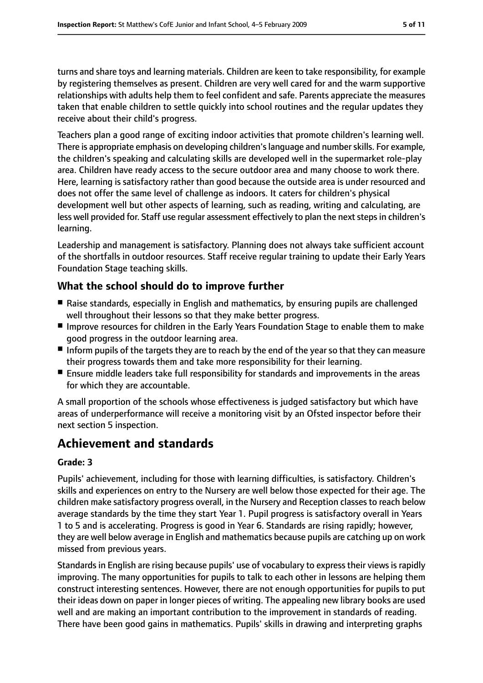turns and share toys and learning materials. Children are keen to take responsibility, for example by registering themselves as present. Children are very well cared for and the warm supportive relationships with adults help them to feel confident and safe. Parents appreciate the measures taken that enable children to settle quickly into school routines and the regular updates they receive about their child's progress.

Teachers plan a good range of exciting indoor activities that promote children's learning well. There is appropriate emphasis on developing children'slanguage and numberskills. For example, the children's speaking and calculating skills are developed well in the supermarket role-play area. Children have ready access to the secure outdoor area and many choose to work there. Here, learning is satisfactory rather than good because the outside area is under resourced and does not offer the same level of challenge as indoors. It caters for children's physical development well but other aspects of learning, such as reading, writing and calculating, are less well provided for. Staff use regular assessment effectively to plan the next steps in children's learning.

Leadership and management is satisfactory. Planning does not always take sufficient account of the shortfalls in outdoor resources. Staff receive regular training to update their Early Years Foundation Stage teaching skills.

## **What the school should do to improve further**

- Raise standards, especially in English and mathematics, by ensuring pupils are challenged well throughout their lessons so that they make better progress.
- Improve resources for children in the Early Years Foundation Stage to enable them to make good progress in the outdoor learning area.
- Inform pupils of the targets they are to reach by the end of the year so that they can measure their progress towards them and take more responsibility for their learning.
- Ensure middle leaders take full responsibility for standards and improvements in the areas for which they are accountable.

A small proportion of the schools whose effectiveness is judged satisfactory but which have areas of underperformance will receive a monitoring visit by an Ofsted inspector before their next section 5 inspection.

# **Achievement and standards**

#### **Grade: 3**

Pupils' achievement, including for those with learning difficulties, is satisfactory. Children's skills and experiences on entry to the Nursery are well below those expected for their age. The children make satisfactory progress overall, in the Nursery and Reception classes to reach below average standards by the time they start Year 1. Pupil progress is satisfactory overall in Years 1 to 5 and is accelerating. Progress is good in Year 6. Standards are rising rapidly; however, they are well below average in English and mathematics because pupils are catching up on work missed from previous years.

Standards in English are rising because pupils' use of vocabulary to express their views is rapidly improving. The many opportunities for pupils to talk to each other in lessons are helping them construct interesting sentences. However, there are not enough opportunities for pupils to put their ideas down on paper in longer pieces of writing. The appealing new library books are used well and are making an important contribution to the improvement in standards of reading. There have been good gains in mathematics. Pupils' skills in drawing and interpreting graphs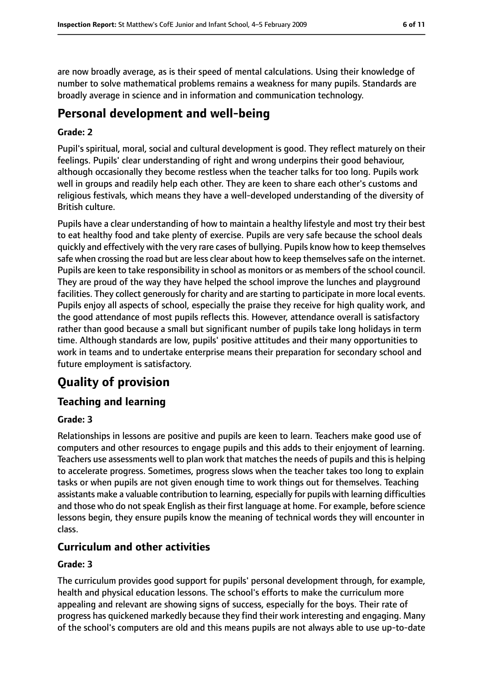are now broadly average, as is their speed of mental calculations. Using their knowledge of number to solve mathematical problems remains a weakness for many pupils. Standards are broadly average in science and in information and communication technology.

# **Personal development and well-being**

#### **Grade: 2**

Pupil's spiritual, moral, social and cultural development is good. They reflect maturely on their feelings. Pupils' clear understanding of right and wrong underpins their good behaviour, although occasionally they become restless when the teacher talks for too long. Pupils work well in groups and readily help each other. They are keen to share each other's customs and religious festivals, which means they have a well-developed understanding of the diversity of British culture.

Pupils have a clear understanding of how to maintain a healthy lifestyle and most try their best to eat healthy food and take plenty of exercise. Pupils are very safe because the school deals quickly and effectively with the very rare cases of bullying. Pupils know how to keep themselves safe when crossing the road but are less clear about how to keep themselvessafe on the internet. Pupils are keen to take responsibility in school as monitors or as members of the school council. They are proud of the way they have helped the school improve the lunches and playground facilities. They collect generously for charity and are starting to participate in more local events. Pupils enjoy all aspects of school, especially the praise they receive for high quality work, and the good attendance of most pupils reflects this. However, attendance overall is satisfactory rather than good because a small but significant number of pupils take long holidays in term time. Although standards are low, pupils' positive attitudes and their many opportunities to work in teams and to undertake enterprise means their preparation for secondary school and future employment is satisfactory.

# **Quality of provision**

## **Teaching and learning**

#### **Grade: 3**

Relationships in lessons are positive and pupils are keen to learn. Teachers make good use of computers and other resources to engage pupils and this adds to their enjoyment of learning. Teachers use assessments well to plan work that matches the needs of pupils and this is helping to accelerate progress. Sometimes, progress slows when the teacher takes too long to explain tasks or when pupils are not given enough time to work things out for themselves. Teaching assistants make a valuable contribution to learning, especially for pupils with learning difficulties and those who do not speak English as their first language at home. For example, before science lessons begin, they ensure pupils know the meaning of technical words they will encounter in class.

#### **Curriculum and other activities**

#### **Grade: 3**

The curriculum provides good support for pupils' personal development through, for example, health and physical education lessons. The school's efforts to make the curriculum more appealing and relevant are showing signs of success, especially for the boys. Their rate of progress has quickened markedly because they find their work interesting and engaging. Many of the school's computers are old and this means pupils are not always able to use up-to-date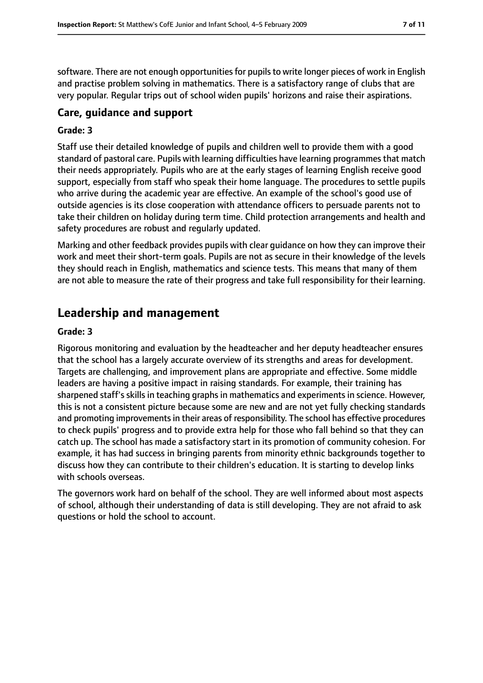software. There are not enough opportunities for pupils to write longer pieces of work in English and practise problem solving in mathematics. There is a satisfactory range of clubs that are very popular. Regular trips out of school widen pupils' horizons and raise their aspirations.

## **Care, guidance and support**

#### **Grade: 3**

Staff use their detailed knowledge of pupils and children well to provide them with a good standard of pastoral care. Pupils with learning difficulties have learning programmes that match their needs appropriately. Pupils who are at the early stages of learning English receive good support, especially from staff who speak their home language. The procedures to settle pupils who arrive during the academic year are effective. An example of the school's good use of outside agencies is its close cooperation with attendance officers to persuade parents not to take their children on holiday during term time. Child protection arrangements and health and safety procedures are robust and regularly updated.

Marking and other feedback provides pupils with clear guidance on how they can improve their work and meet their short-term goals. Pupils are not as secure in their knowledge of the levels they should reach in English, mathematics and science tests. This means that many of them are not able to measure the rate of their progress and take full responsibility for their learning.

# **Leadership and management**

#### **Grade: 3**

Rigorous monitoring and evaluation by the headteacher and her deputy headteacher ensures that the school has a largely accurate overview of its strengths and areas for development. Targets are challenging, and improvement plans are appropriate and effective. Some middle leaders are having a positive impact in raising standards. For example, their training has sharpened staff's skills in teaching graphs in mathematics and experiments in science. However, this is not a consistent picture because some are new and are not yet fully checking standards and promoting improvements in their areas of responsibility. The school has effective procedures to check pupils' progress and to provide extra help for those who fall behind so that they can catch up. The school has made a satisfactory start in its promotion of community cohesion. For example, it has had success in bringing parents from minority ethnic backgrounds together to discuss how they can contribute to their children's education. It is starting to develop links with schools overseas.

The governors work hard on behalf of the school. They are well informed about most aspects of school, although their understanding of data is still developing. They are not afraid to ask questions or hold the school to account.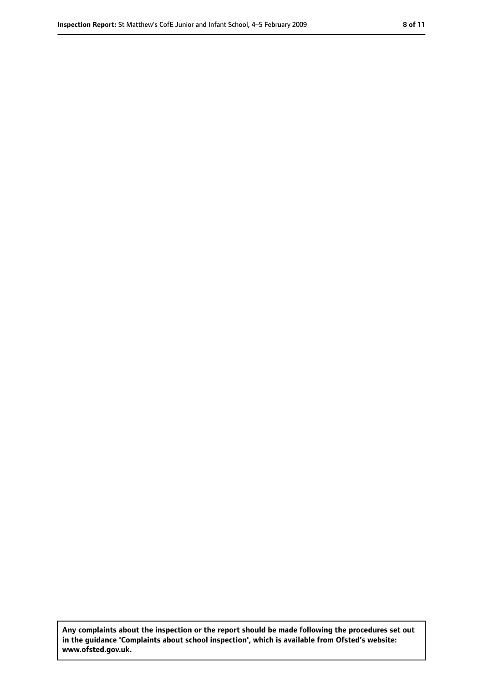**Any complaints about the inspection or the report should be made following the procedures set out in the guidance 'Complaints about school inspection', which is available from Ofsted's website: www.ofsted.gov.uk.**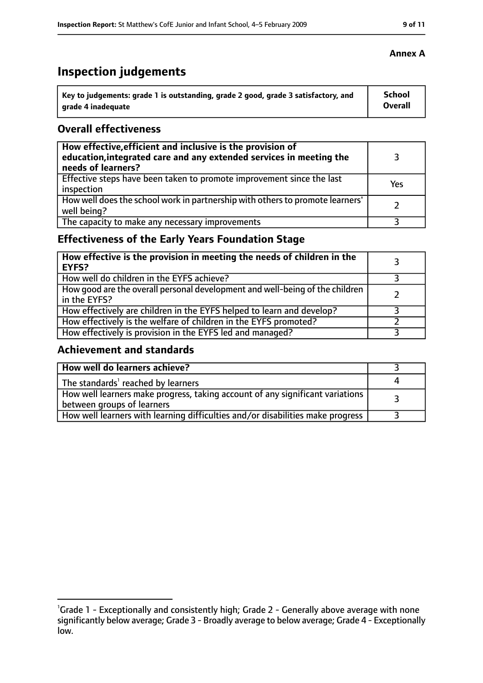# **Inspection judgements**

| Key to judgements: grade 1 is outstanding, grade 2 good, grade 3 satisfactory, and | <b>School</b>  |
|------------------------------------------------------------------------------------|----------------|
| arade 4 inadequate                                                                 | <b>Overall</b> |

#### **Overall effectiveness**

| How effective, efficient and inclusive is the provision of<br>education, integrated care and any extended services in meeting the<br>needs of learners? |     |
|---------------------------------------------------------------------------------------------------------------------------------------------------------|-----|
| Effective steps have been taken to promote improvement since the last<br>inspection                                                                     | Yes |
| How well does the school work in partnership with others to promote learners'<br>well being?                                                            |     |
| The capacity to make any necessary improvements                                                                                                         |     |

# **Effectiveness of the Early Years Foundation Stage**

| How effective is the provision in meeting the needs of children in the<br><b>EYFS?</b>       |  |
|----------------------------------------------------------------------------------------------|--|
| How well do children in the EYFS achieve?                                                    |  |
| How good are the overall personal development and well-being of the children<br>in the EYFS? |  |
| How effectively are children in the EYFS helped to learn and develop?                        |  |
| How effectively is the welfare of children in the EYFS promoted?                             |  |
| How effectively is provision in the EYFS led and managed?                                    |  |

## **Achievement and standards**

| How well do learners achieve?                                                                               |  |
|-------------------------------------------------------------------------------------------------------------|--|
| The standards <sup>1</sup> reached by learners                                                              |  |
| How well learners make progress, taking account of any significant variations<br>between groups of learners |  |
| How well learners with learning difficulties and/or disabilities make progress                              |  |

#### **Annex A**

<sup>&</sup>lt;sup>1</sup>Grade 1 - Exceptionally and consistently high; Grade 2 - Generally above average with none significantly below average; Grade 3 - Broadly average to below average; Grade 4 - Exceptionally low.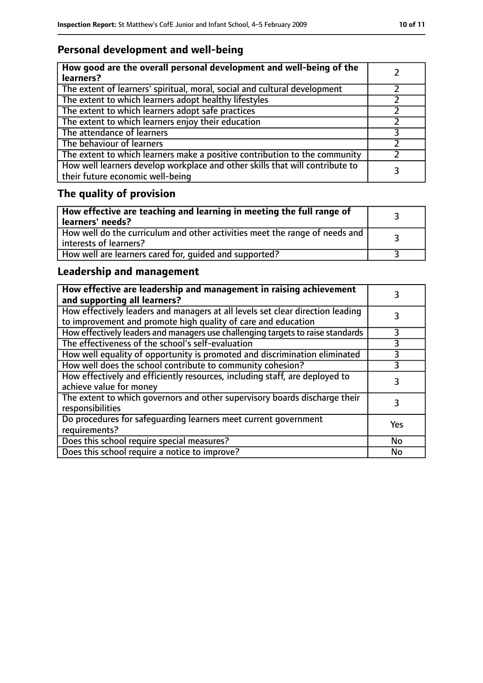# **Personal development and well-being**

| How good are the overall personal development and well-being of the<br>learners?                                 |  |
|------------------------------------------------------------------------------------------------------------------|--|
| The extent of learners' spiritual, moral, social and cultural development                                        |  |
| The extent to which learners adopt healthy lifestyles                                                            |  |
| The extent to which learners adopt safe practices                                                                |  |
| The extent to which learners enjoy their education                                                               |  |
| The attendance of learners                                                                                       |  |
| The behaviour of learners                                                                                        |  |
| The extent to which learners make a positive contribution to the community                                       |  |
| How well learners develop workplace and other skills that will contribute to<br>their future economic well-being |  |

# **The quality of provision**

| How effective are teaching and learning in meeting the full range of<br>learners' needs?              |  |
|-------------------------------------------------------------------------------------------------------|--|
| How well do the curriculum and other activities meet the range of needs and<br>interests of learners? |  |
| How well are learners cared for, quided and supported?                                                |  |

# **Leadership and management**

| How effective are leadership and management in raising achievement<br>and supporting all learners?                                              |     |
|-------------------------------------------------------------------------------------------------------------------------------------------------|-----|
| How effectively leaders and managers at all levels set clear direction leading<br>to improvement and promote high quality of care and education |     |
| How effectively leaders and managers use challenging targets to raise standards                                                                 | 3   |
| The effectiveness of the school's self-evaluation                                                                                               | 3   |
| How well equality of opportunity is promoted and discrimination eliminated                                                                      | 3   |
| How well does the school contribute to community cohesion?                                                                                      | 3   |
| How effectively and efficiently resources, including staff, are deployed to<br>achieve value for money                                          |     |
| The extent to which governors and other supervisory boards discharge their<br>responsibilities                                                  | 3   |
| Do procedures for safequarding learners meet current government<br>requirements?                                                                | Yes |
| Does this school require special measures?                                                                                                      | No  |
| Does this school require a notice to improve?                                                                                                   | No  |